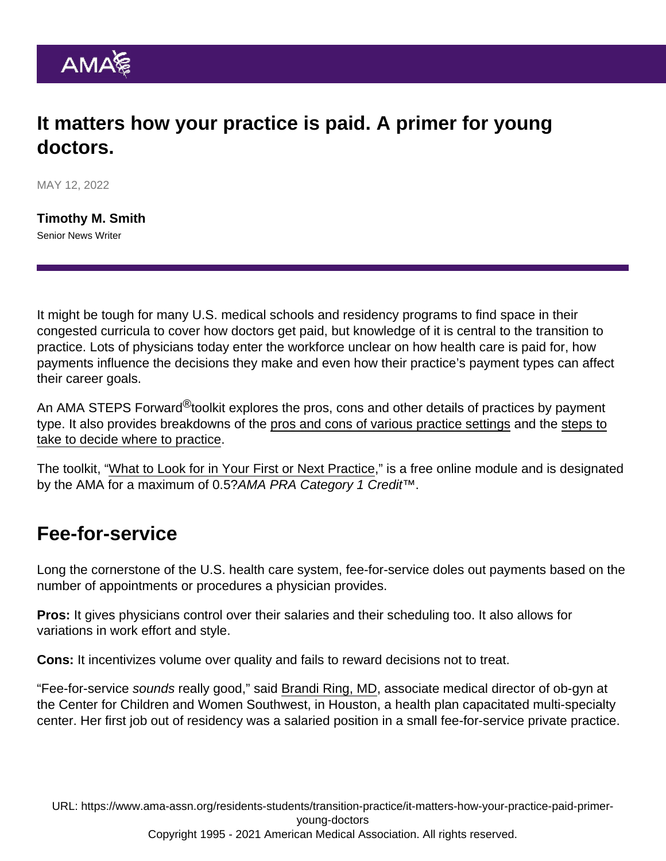## It matters how your practice is paid. A primer for young doctors.

MAY 12, 2022

[Timothy M. Smith](https://www.ama-assn.org/news-leadership-viewpoints/authors-news-leadership-viewpoints/timothy-m-smith) Senior News Writer

It might be tough for many U.S. medical schools and residency programs to find space in their congested curricula to cover how doctors get paid, but knowledge of it is central to the transition to practice. Lots of physicians today enter the workforce unclear on how health care is paid for, how payments influence the decisions they make and even how their practice's payment types can affect their career goals.

An AMA STEPS Forward<sup>®</sup>toolkit explores the pros, cons and other details of practices by payment type. It also provides breakdowns of the [pros and cons of various practice settings](https://www.ama-assn.org/residents-students/transition-practice/young-doctors-should-know-pros-cons-these-4-practice) and the [steps to](https://www.ama-assn.org/residents-students/transition-practice/8-steps-physicians-can-take-when-deciding-where-practice) [take to decide where to practice](https://www.ama-assn.org/residents-students/transition-practice/8-steps-physicians-can-take-when-deciding-where-practice).

The toolkit, ["What to Look for in Your First or Next Practice,](https://edhub.ama-assn.org/steps-forward/module/2767098)" is a free online module and is designated by the AMA for a maximum of 0.5?AMA PRA Category 1 Credit™.

## Fee-for-service

Long the cornerstone of the U.S. health care system, fee-for-service doles out payments based on the number of appointments or procedures a physician provides.

Pros: It gives physicians control over their salaries and their scheduling too. It also allows for variations in work effort and style.

Cons: It incentivizes volume over quality and fails to reward decisions not to treat.

"Fee-for-service sounds really good," said [Brandi Ring, MD,](https://www.ama-assn.org/residents-students/specialty-profiles/what-it-s-specialize-gynecology-shadowing-dr-ring) associate medical director of ob-gyn at the Center for Children and Women Southwest, in Houston, a health plan capacitated multi-specialty center. Her first job out of residency was a salaried position in a small fee-for-service private practice.

URL: [https://www.ama-assn.org/residents-students/transition-practice/it-matters-how-your-practice-paid-primer](https://www.ama-assn.org/residents-students/transition-practice/it-matters-how-your-practice-paid-primer-young-doctors)[young-doctors](https://www.ama-assn.org/residents-students/transition-practice/it-matters-how-your-practice-paid-primer-young-doctors) Copyright 1995 - 2021 American Medical Association. All rights reserved.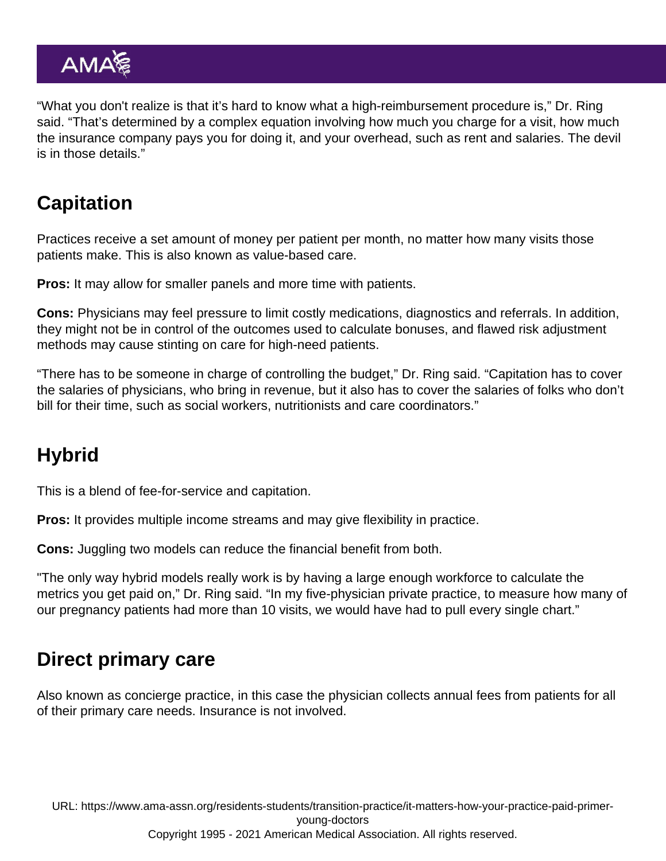"What you don't realize is that it's hard to know what a high-reimbursement procedure is," Dr. Ring said. "That's determined by a complex equation involving how much you charge for a visit, how much the insurance company pays you for doing it, and your overhead, such as rent and salaries. The devil is in those details."

## **Capitation**

Practices receive a set amount of money per patient per month, no matter how many visits those patients make. This is also known as value-based care.

Pros: It may allow for smaller panels and more time with patients.

Cons: Physicians may feel pressure to limit costly medications, diagnostics and referrals. In addition, they might not be in control of the outcomes used to calculate bonuses, and flawed risk adjustment methods may cause stinting on care for high-need patients.

"There has to be someone in charge of controlling the budget," Dr. Ring said. "Capitation has to cover the salaries of physicians, who bring in revenue, but it also has to cover the salaries of folks who don't bill for their time, such as social workers, nutritionists and care coordinators."

# **Hybrid**

This is a blend of fee-for-service and capitation.

Pros: It provides multiple income streams and may give flexibility in practice.

Cons: Juggling two models can reduce the financial benefit from both.

"The only way hybrid models really work is by having a large enough workforce to calculate the metrics you get paid on," Dr. Ring said. "In my five-physician private practice, to measure how many of our pregnancy patients had more than 10 visits, we would have had to pull every single chart."

#### Direct primary care

Also known as concierge practice, in this case the physician collects annual fees from patients for all of their primary care needs. Insurance is not involved.

URL: [https://www.ama-assn.org/residents-students/transition-practice/it-matters-how-your-practice-paid-primer](https://www.ama-assn.org/residents-students/transition-practice/it-matters-how-your-practice-paid-primer-young-doctors)[young-doctors](https://www.ama-assn.org/residents-students/transition-practice/it-matters-how-your-practice-paid-primer-young-doctors) Copyright 1995 - 2021 American Medical Association. All rights reserved.